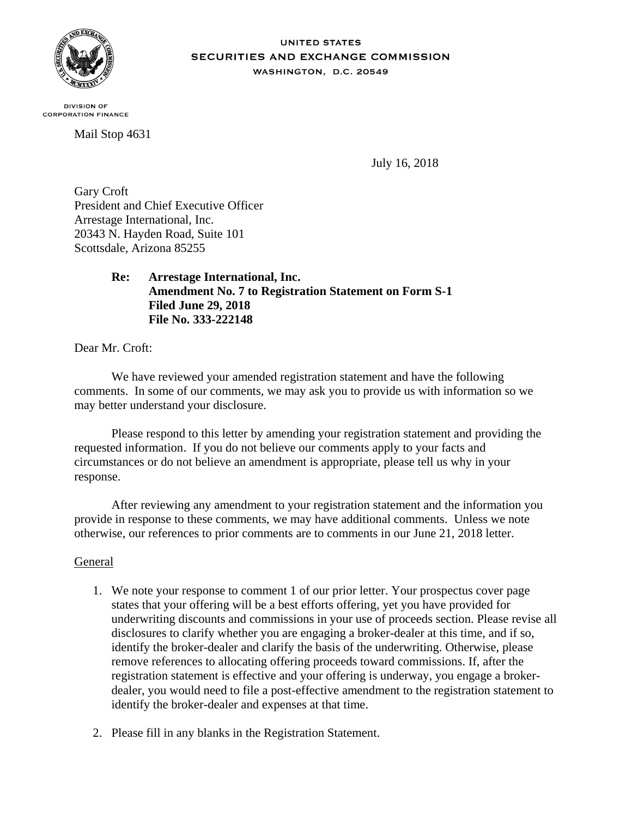

#### **UNITED STATES SECURITIES AND EXCHANGE COMMISSION** WASHINGTON, D.C. 20549

**DIVISION OF CORPORATION FINANCE** 

Mail Stop 4631

July 16, 2018

Gary Croft President and Chief Executive Officer Arrestage International, Inc. 20343 N. Hayden Road, Suite 101 Scottsdale, Arizona 85255

> **Re: Arrestage International, Inc. Amendment No. 7 to Registration Statement on Form S-1 Filed June 29, 2018 File No. 333-222148**

Dear Mr. Croft:

We have reviewed your amended registration statement and have the following comments. In some of our comments, we may ask you to provide us with information so we may better understand your disclosure.

Please respond to this letter by amending your registration statement and providing the requested information. If you do not believe our comments apply to your facts and circumstances or do not believe an amendment is appropriate, please tell us why in your response.

After reviewing any amendment to your registration statement and the information you provide in response to these comments, we may have additional comments. Unless we note otherwise, our references to prior comments are to comments in our June 21, 2018 letter.

# General

- 1. We note your response to comment 1 of our prior letter. Your prospectus cover page states that your offering will be a best efforts offering, yet you have provided for underwriting discounts and commissions in your use of proceeds section. Please revise all disclosures to clarify whether you are engaging a broker-dealer at this time, and if so, identify the broker-dealer and clarify the basis of the underwriting. Otherwise, please remove references to allocating offering proceeds toward commissions. If, after the registration statement is effective and your offering is underway, you engage a brokerdealer, you would need to file a post-effective amendment to the registration statement to identify the broker-dealer and expenses at that time.
- 2. Please fill in any blanks in the Registration Statement.